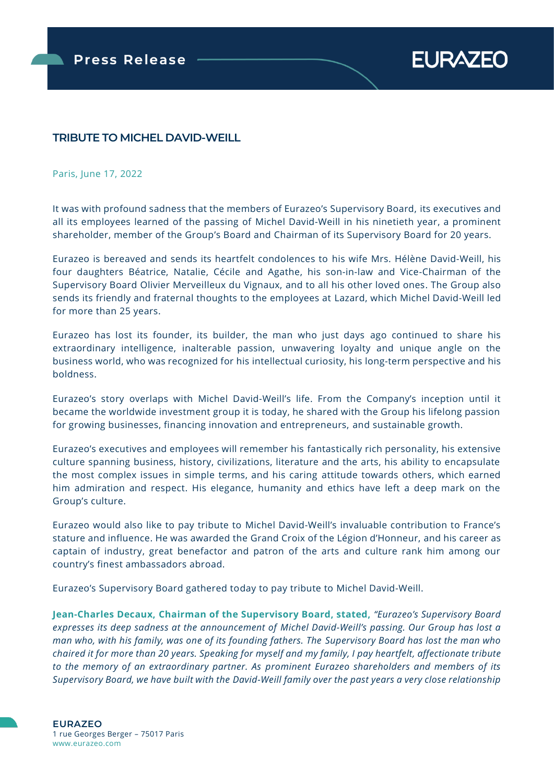**EURAZEO** 

# **TRIBUTE TO MICHEL DAVID-WEILL**

#### Paris, June 17, 2022

It was with profound sadness that the members of Eurazeo's Supervisory Board, its executives and all its employees learned of the passing of Michel David-Weill in his ninetieth year, a prominent shareholder, member of the Group's Board and Chairman of its Supervisory Board for 20 years.

Eurazeo is bereaved and sends its heartfelt condolences to his wife Mrs. Hélène David-Weill, his four daughters Béatrice, Natalie, Cécile and Agathe, his son-in-law and Vice-Chairman of the Supervisory Board Olivier Merveilleux du Vignaux, and to all his other loved ones. The Group also sends its friendly and fraternal thoughts to the employees at Lazard, which Michel David-Weill led for more than 25 years.

Eurazeo has lost its founder, its builder, the man who just days ago continued to share his extraordinary intelligence, inalterable passion, unwavering loyalty and unique angle on the business world, who was recognized for his intellectual curiosity, his long-term perspective and his boldness.

Eurazeo's story overlaps with Michel David-Weill's life. From the Company's inception until it became the worldwide investment group it is today, he shared with the Group his lifelong passion for growing businesses, financing innovation and entrepreneurs, and sustainable growth.

Eurazeo's executives and employees will remember his fantastically rich personality, his extensive culture spanning business, history, civilizations, literature and the arts, his ability to encapsulate the most complex issues in simple terms, and his caring attitude towards others, which earned him admiration and respect. His elegance, humanity and ethics have left a deep mark on the Group's culture.

Eurazeo would also like to pay tribute to Michel David-Weill's invaluable contribution to France's stature and influence. He was awarded the Grand Croix of the Légion d'Honneur, and his career as captain of industry, great benefactor and patron of the arts and culture rank him among our country's finest ambassadors abroad.

Eurazeo's Supervisory Board gathered today to pay tribute to Michel David-Weill.

**Jean-Charles Decaux, Chairman of the Supervisory Board, stated,** *"Eurazeo's Supervisory Board expresses its deep sadness at the announcement of Michel David-Weill's passing. Our Group has lost a man who, with his family, was one of its founding fathers. The Supervisory Board has lost the man who chaired it for more than 20 years. Speaking for myself and my family, I pay heartfelt, affectionate tribute to the memory of an extraordinary partner. As prominent Eurazeo shareholders and members of its Supervisory Board, we have built with the David-Weill family over the past years a very close relationship*